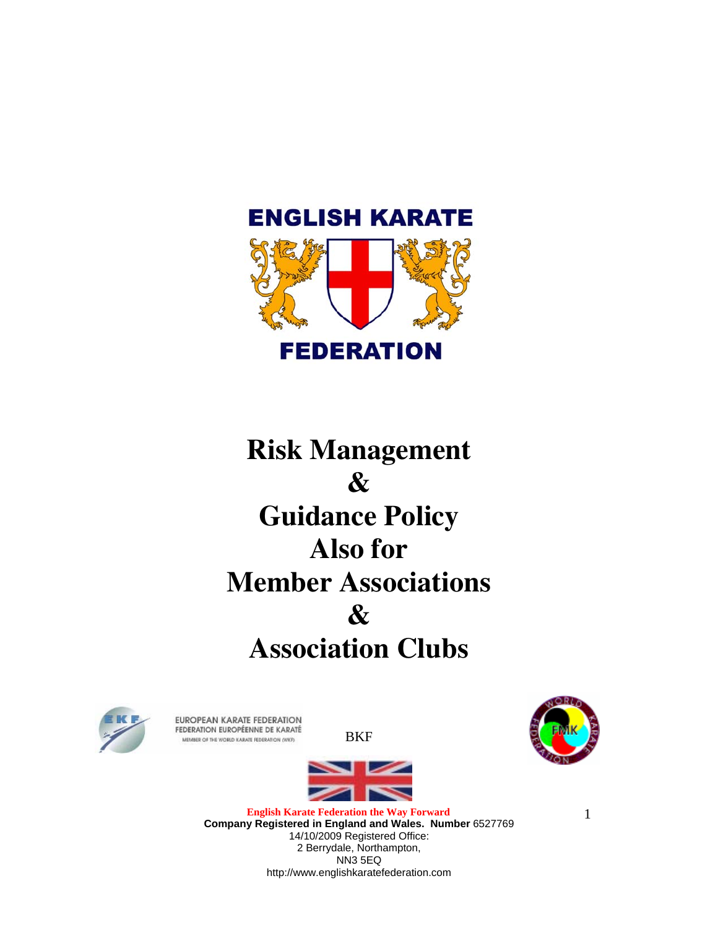

# **Risk Management & Guidance Policy Also for Member Associations & Association Clubs**



EUROPEAN KARATE FEDERATION FEDERATION EUROPÉENNE DE KARATÉ MEMBER OF THE WORLD KARATE FEDERATION (WKF)

BKF





**English Karate Federation the Way Forward Company Registered in England and Wales. Number** 6527769 14/10/2009 Registered Office: 2 Berrydale, Northampton, NN3 5EQ http://www.englishkaratefederation.com

1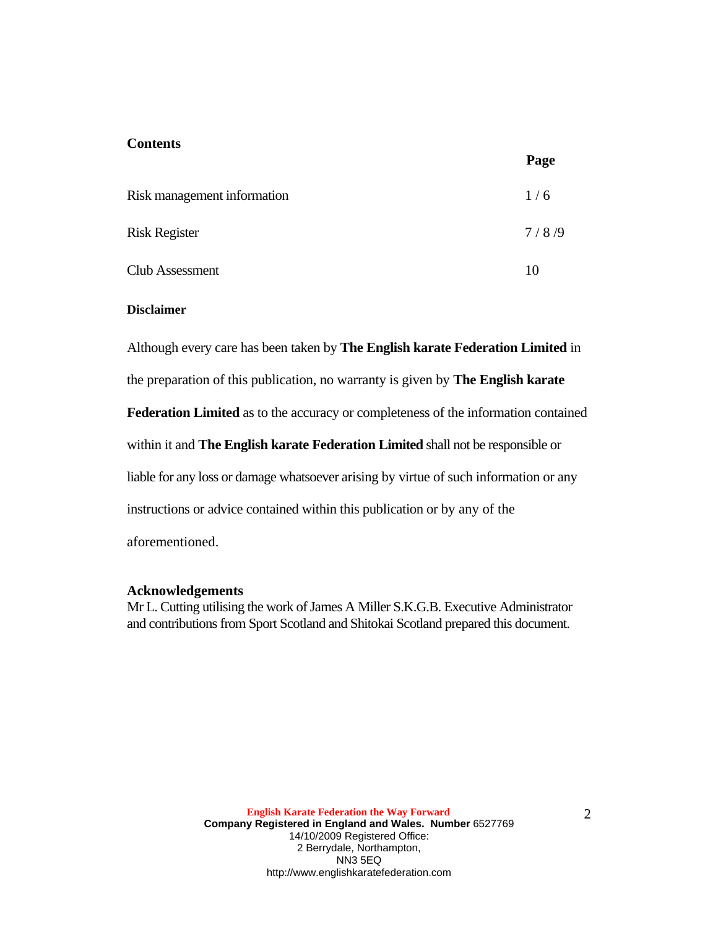#### **Contents**

|                             | ້     |
|-----------------------------|-------|
| Risk management information | 1/6   |
| <b>Risk Register</b>        | 7/8/9 |
| Club Assessment             | 10    |

#### **Disclaimer**

Although every care has been taken by **The English karate Federation Limited** in

the preparation of this publication, no warranty is given by **The English karate**

**Federation Limited** as to the accuracy or completeness of the information contained

within it and **The English karate Federation Limited** shall not be responsible or

liable for any loss or damage whatsoever arising by virtue of such information or any

instructions or advice contained within this publication or by any of the

aforementioned.

#### **Acknowledgements**

Mr L. Cutting utilising the work of James A Miller S.K.G.B. Executive Administrator and contributions from Sport Scotland and Shitokai Scotland prepared this document.

**Page**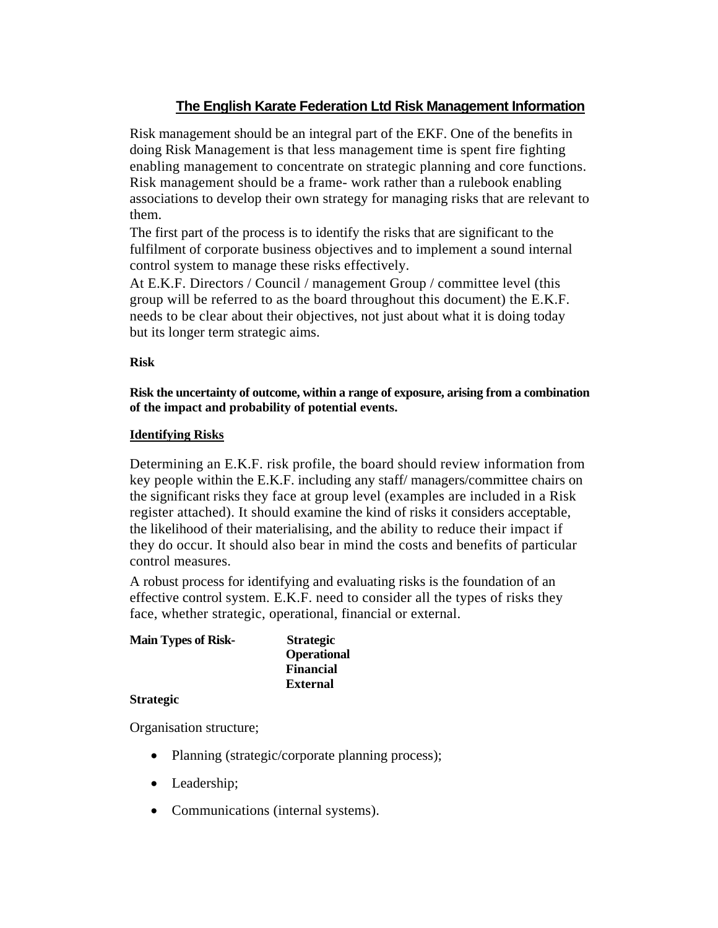#### **The English Karate Federation Ltd Risk Management Information**

Risk management should be an integral part of the EKF. One of the benefits in doing Risk Management is that less management time is spent fire fighting enabling management to concentrate on strategic planning and core functions. Risk management should be a frame- work rather than a rulebook enabling associations to develop their own strategy for managing risks that are relevant to them.

The first part of the process is to identify the risks that are significant to the fulfilment of corporate business objectives and to implement a sound internal control system to manage these risks effectively.

At E.K.F. Directors / Council / management Group / committee level (this group will be referred to as the board throughout this document) the E.K.F. needs to be clear about their objectives, not just about what it is doing today but its longer term strategic aims.

#### **Risk**

**Risk the uncertainty of outcome, within a range of exposure, arising from a combination of the impact and probability of potential events.**

#### **Identifying Risks**

Determining an E.K.F. risk profile, the board should review information from key people within the E.K.F. including any staff/ managers/committee chairs on the significant risks they face at group level (examples are included in a Risk register attached). It should examine the kind of risks it considers acceptable, the likelihood of their materialising, and the ability to reduce their impact if they do occur. It should also bear in mind the costs and benefits of particular control measures.

A robust process for identifying and evaluating risks is the foundation of an effective control system. E.K.F. need to consider all the types of risks they face, whether strategic, operational, financial or external.

| <b>Main Types of Risk-</b> | <b>Strategic</b>   |
|----------------------------|--------------------|
|                            | <b>Operational</b> |
|                            | <b>Financial</b>   |
|                            | <b>External</b>    |
| $\sim$                     |                    |

#### **Strategic**

Organisation structure;

- Planning (strategic/corporate planning process);
- Leadership;
- Communications (internal systems).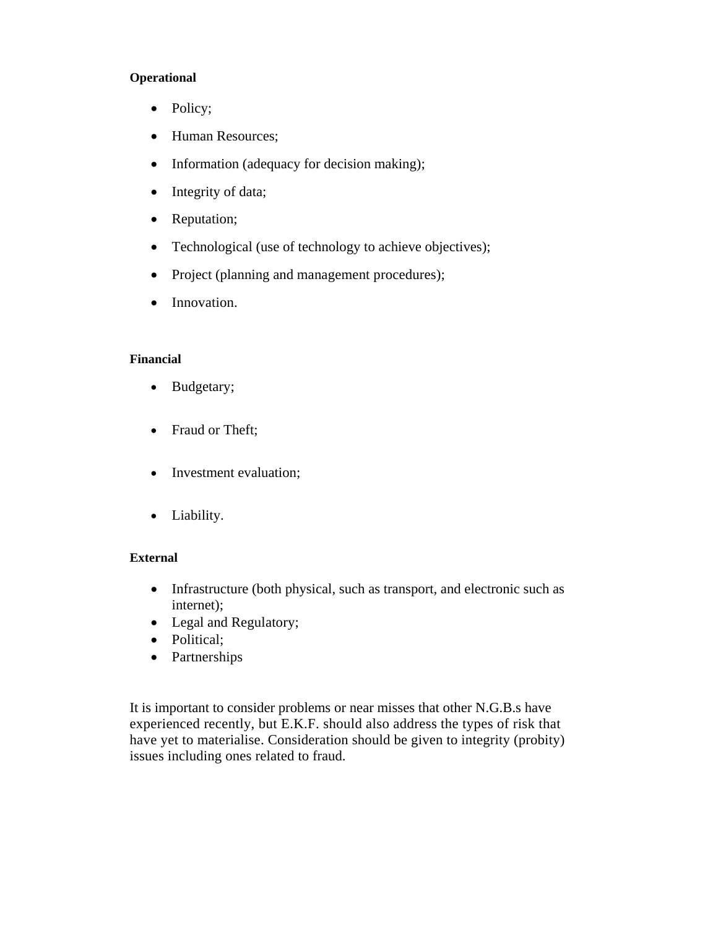#### **Operational**

- Policy;
- Human Resources;
- Information (adequacy for decision making);
- Integrity of data;
- Reputation;
- Technological (use of technology to achieve objectives);
- Project (planning and management procedures);
- Innovation.

#### **Financial**

- Budgetary;
- Fraud or Theft;
- Investment evaluation;
- Liability.

#### **External**

- Infrastructure (both physical, such as transport, and electronic such as internet);
- Legal and Regulatory;
- Political;
- Partnerships

It is important to consider problems or near misses that other N.G.B.s have experienced recently, but E.K.F. should also address the types of risk that have yet to materialise. Consideration should be given to integrity (probity) issues including ones related to fraud.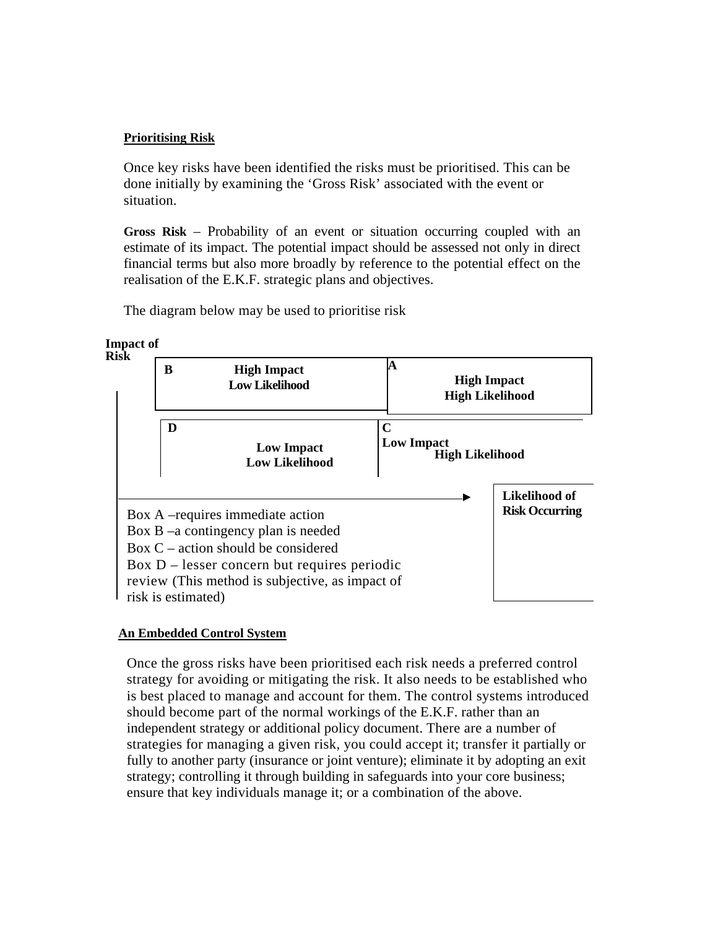#### **Prioritising Risk**

Once key risks have been identified the risks must be prioritised. This can be done initially by examining the 'Gross Risk' associated with the event or situation.

**Gross Risk** – Probability of an event or situation occurring coupled with an estimate of its impact. The potential impact should be assessed not only in direct financial terms but also more broadly by reference to the potential effect on the realisation of the E.K.F. strategic plans and objectives.

The diagram below may be used to prioritise risk





#### **An Embedded Control System**

Once the gross risks have been prioritised each risk needs a preferred control strategy for avoiding or mitigating the risk. It also needs to be established who is best placed to manage and account for them. The control systems introduced should become part of the normal workings of the E.K.F. rather than an independent strategy or additional policy document. There are a number of strategies for managing a given risk, you could accept it; transfer it partially or fully to another party (insurance or joint venture); eliminate it by adopting an exit strategy; controlling it through building in safeguards into your core business; ensure that key individuals manage it; or a combination of the above.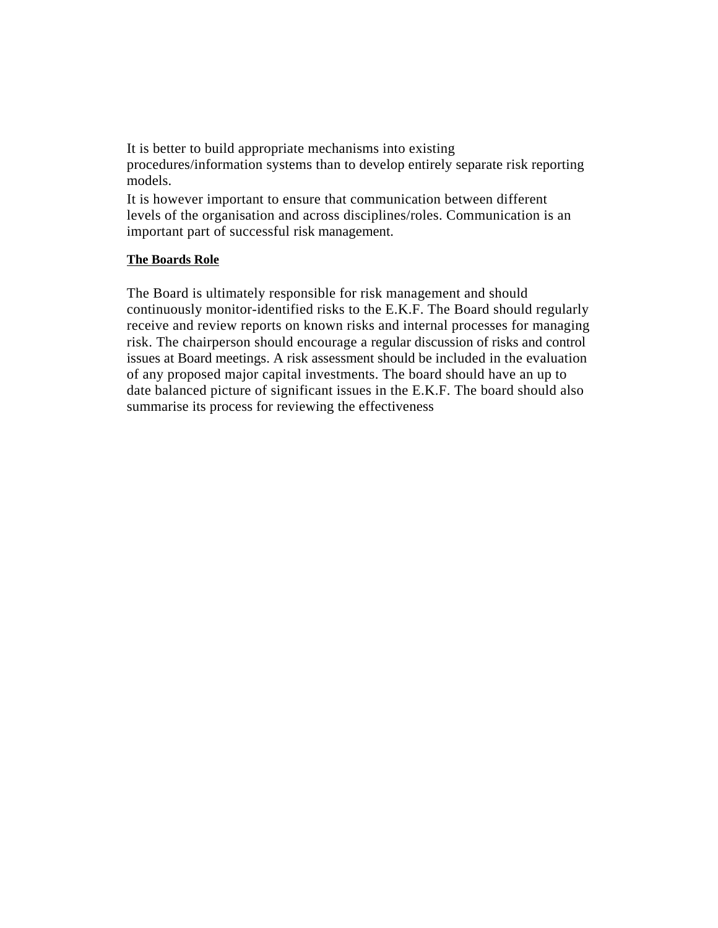It is better to build appropriate mechanisms into existing procedures/information systems than to develop entirely separate risk reporting models.

It is however important to ensure that communication between different levels of the organisation and across disciplines/roles. Communication is an important part of successful risk management.

#### **The Boards Role**

The Board is ultimately responsible for risk management and should continuously monitor-identified risks to the E.K.F. The Board should regularly receive and review reports on known risks and internal processes for managing risk. The chairperson should encourage a regular discussion of risks and control issues at Board meetings. A risk assessment should be included in the evaluation of any proposed major capital investments. The board should have an up to date balanced picture of significant issues in the E.K.F. The board should also summarise its process for reviewing the effectiveness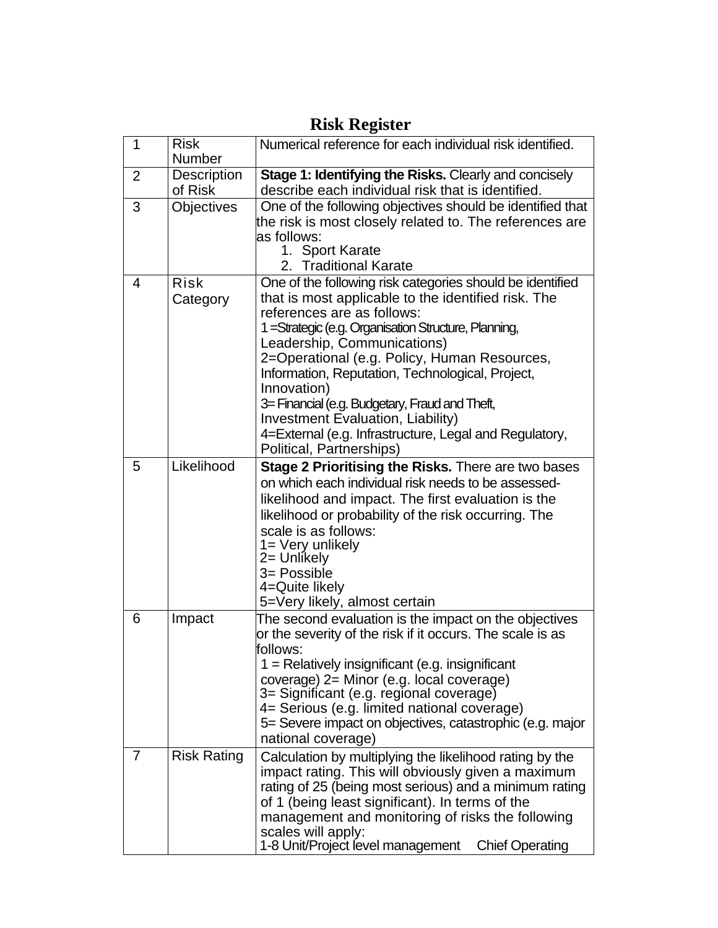| $\mathbf 1$    | <b>Risk</b><br><b>Number</b>  | Numerical reference for each individual risk identified.                                                                                                                                                                                                                                                                                                                                                                                                                                                                                       |  |  |  |  |
|----------------|-------------------------------|------------------------------------------------------------------------------------------------------------------------------------------------------------------------------------------------------------------------------------------------------------------------------------------------------------------------------------------------------------------------------------------------------------------------------------------------------------------------------------------------------------------------------------------------|--|--|--|--|
| $\overline{2}$ | <b>Description</b><br>of Risk | Stage 1: Identifying the Risks. Clearly and concisely<br>describe each individual risk that is identified.                                                                                                                                                                                                                                                                                                                                                                                                                                     |  |  |  |  |
| 3              | <b>Objectives</b>             | One of the following objectives should be identified that<br>the risk is most closely related to. The references are<br>as follows:<br>1. Sport Karate<br>2. Traditional Karate                                                                                                                                                                                                                                                                                                                                                                |  |  |  |  |
| 4              | Risk<br>Category              | One of the following risk categories should be identified<br>that is most applicable to the identified risk. The<br>references are as follows:<br>1 = Strategic (e.g. Organisation Structure, Planning,<br>Leadership, Communications)<br>2=Operational (e.g. Policy, Human Resources,<br>Information, Reputation, Technological, Project,<br>Innovation)<br>3 = Financial (e.g. Budgetary, Fraud and Theft,<br><b>Investment Evaluation, Liability)</b><br>4=External (e.g. Infrastructure, Legal and Regulatory,<br>Political, Partnerships) |  |  |  |  |
| 5              | Likelihood                    | Stage 2 Prioritising the Risks. There are two bases<br>on which each individual risk needs to be assessed-<br>likelihood and impact. The first evaluation is the<br>likelihood or probability of the risk occurring. The<br>scale is as follows:<br>1= Very unlikely<br>2= Unlikely<br>3= Possible<br>4=Quite likely<br>5=Very likely, almost certain                                                                                                                                                                                          |  |  |  |  |
| 6              | Impact                        | The second evaluation is the impact on the objectives<br>or the severity of the risk if it occurs. The scale is as<br>follows:<br>$1 =$ Relatively insignificant (e.g. insignificant<br>coverage) 2= Minor (e.g. local coverage)<br>3= Significant (e.g. regional coverage)<br>4= Serious (e.g. limited national coverage)<br>5= Severe impact on objectives, catastrophic (e.g. major<br>national coverage)                                                                                                                                   |  |  |  |  |
| 7              | <b>Risk Rating</b>            | Calculation by multiplying the likelihood rating by the<br>impact rating. This will obviously given a maximum<br>rating of 25 (being most serious) and a minimum rating<br>of 1 (being least significant). In terms of the<br>management and monitoring of risks the following<br>scales will apply:<br>1-8 Unit/Project level management<br><b>Chief Operating</b>                                                                                                                                                                            |  |  |  |  |

### **Risk Register**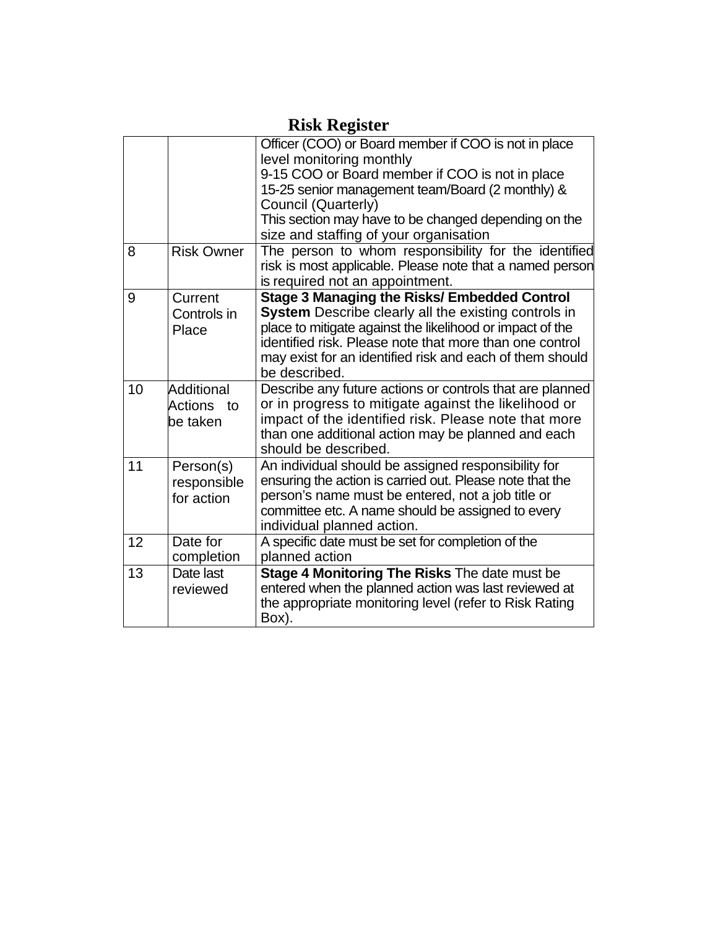|    |                                         | Officer (COO) or Board member if COO is not in place<br>level monitoring monthly                                                                                                                                                                                                                                 |
|----|-----------------------------------------|------------------------------------------------------------------------------------------------------------------------------------------------------------------------------------------------------------------------------------------------------------------------------------------------------------------|
|    |                                         | 9-15 COO or Board member if COO is not in place<br>15-25 senior management team/Board (2 monthly) &<br>Council (Quarterly)                                                                                                                                                                                       |
|    |                                         | This section may have to be changed depending on the<br>size and staffing of your organisation                                                                                                                                                                                                                   |
| 8  | <b>Risk Owner</b>                       | The person to whom responsibility for the identified<br>risk is most applicable. Please note that a named person<br>is required not an appointment.                                                                                                                                                              |
| 9  | Current<br>Controls in<br>Place         | <b>Stage 3 Managing the Risks/ Embedded Control</b><br>System Describe clearly all the existing controls in<br>place to mitigate against the likelihood or impact of the<br>identified risk. Please note that more than one control<br>may exist for an identified risk and each of them should<br>be described. |
| 10 | Additional<br>Actions<br>to<br>be taken | Describe any future actions or controls that are planned<br>or in progress to mitigate against the likelihood or<br>impact of the identified risk. Please note that more<br>than one additional action may be planned and each<br>should be described.                                                           |
| 11 | Person(s)<br>responsible<br>for action  | An individual should be assigned responsibility for<br>ensuring the action is carried out. Please note that the<br>person's name must be entered, not a job title or<br>committee etc. A name should be assigned to every<br>individual planned action.                                                          |
| 12 | Date for<br>completion                  | A specific date must be set for completion of the<br>planned action                                                                                                                                                                                                                                              |
| 13 | Date last<br>reviewed                   | Stage 4 Monitoring The Risks The date must be<br>entered when the planned action was last reviewed at<br>the appropriate monitoring level (refer to Risk Rating<br>Box).                                                                                                                                         |

### **Risk Register**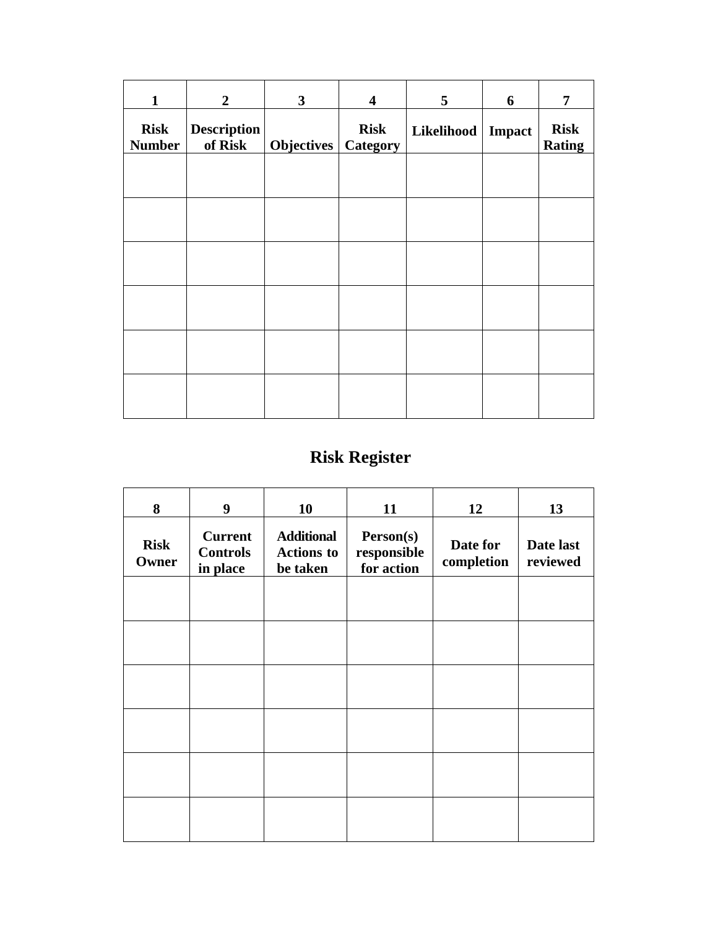| $\overline{2}$                | 3 | $\overline{\mathbf{4}}$ | 5                     | 6      | 7                            |
|-------------------------------|---|-------------------------|-----------------------|--------|------------------------------|
| <b>Description</b><br>of Risk |   | <b>Risk</b>             |                       | Impact | <b>Risk</b><br><b>Rating</b> |
|                               |   |                         |                       |        |                              |
|                               |   |                         |                       |        |                              |
|                               |   |                         |                       |        |                              |
|                               |   |                         |                       |        |                              |
|                               |   |                         |                       |        |                              |
|                               |   |                         |                       |        |                              |
|                               |   |                         | Objectives   Category |        | Likelihood                   |

# **Risk Register**

| 8                    | 9                                             | 10                                                 | 11                                     | 12                     | 13                    |
|----------------------|-----------------------------------------------|----------------------------------------------------|----------------------------------------|------------------------|-----------------------|
| <b>Risk</b><br>Owner | <b>Current</b><br><b>Controls</b><br>in place | <b>Additional</b><br><b>Actions to</b><br>be taken | Person(s)<br>responsible<br>for action | Date for<br>completion | Date last<br>reviewed |
|                      |                                               |                                                    |                                        |                        |                       |
|                      |                                               |                                                    |                                        |                        |                       |
|                      |                                               |                                                    |                                        |                        |                       |
|                      |                                               |                                                    |                                        |                        |                       |
|                      |                                               |                                                    |                                        |                        |                       |
|                      |                                               |                                                    |                                        |                        |                       |